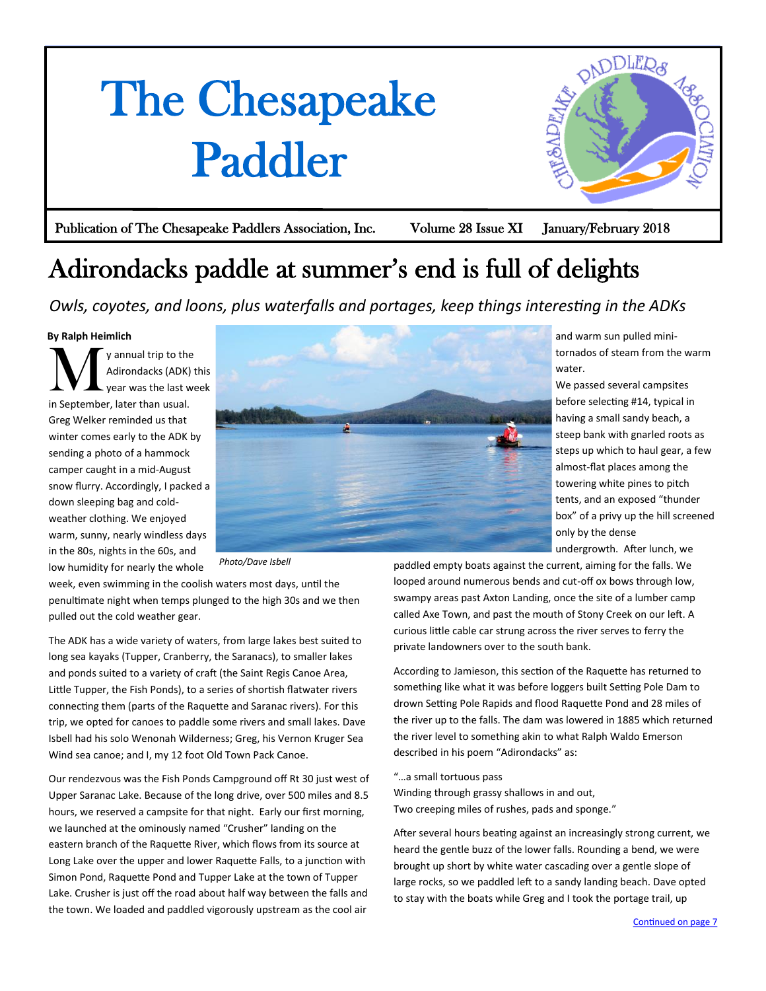## <span id="page-0-0"></span>The Chesapeake Paddler



Publication of The Chesapeake Paddlers Association, Inc. Volume 28 Issue XI January/February 2018

## Adirondacks paddle at summer's end is full of delights

*Owls, coyotes, and loons, plus waterfalls and portages, keep things interesting in the ADKs*

## **By Ralph Heimlich**

M y annual trip to the Adirondacks (ADK) this year was the last week in September, later than usual. Greg Welker reminded us that winter comes early to the ADK by sending a photo of a hammock camper caught in a mid-August snow flurry. Accordingly, I packed a down sleeping bag and coldweather clothing. We enjoyed warm, sunny, nearly windless days in the 80s, nights in the 60s, and low humidity for nearly the whole



*Photo/Dave Isbell*

week, even swimming in the coolish waters most days, until the penultimate night when temps plunged to the high 30s and we then pulled out the cold weather gear.

The ADK has a wide variety of waters, from large lakes best suited to long sea kayaks (Tupper, Cranberry, the Saranacs), to smaller lakes and ponds suited to a variety of craft (the Saint Regis Canoe Area, Little Tupper, the Fish Ponds), to a series of shortish flatwater rivers connecting them (parts of the Raquette and Saranac rivers). For this trip, we opted for canoes to paddle some rivers and small lakes. Dave Isbell had his solo Wenonah Wilderness; Greg, his Vernon Kruger Sea Wind sea canoe; and I, my 12 foot Old Town Pack Canoe.

Our rendezvous was the Fish Ponds Campground off Rt 30 just west of Upper Saranac Lake. Because of the long drive, over 500 miles and 8.5 hours, we reserved a campsite for that night. Early our first morning, we launched at the ominously named "Crusher" landing on the eastern branch of the Raquette River, which flows from its source at Long Lake over the upper and lower Raquette Falls, to a junction with Simon Pond, Raquette Pond and Tupper Lake at the town of Tupper Lake. Crusher is just off the road about half way between the falls and the town. We loaded and paddled vigorously upstream as the cool air

and warm sun pulled minitornados of steam from the warm water.

We passed several campsites before selecting #14, typical in having a small sandy beach, a steep bank with gnarled roots as steps up which to haul gear, a few almost-flat places among the towering white pines to pitch tents, and an exposed "thunder box" of a privy up the hill screened only by the dense

undergrowth. After lunch, we

paddled empty boats against the current, aiming for the falls. We looped around numerous bends and cut-off ox bows through low, swampy areas past Axton Landing, once the site of a lumber camp called Axe Town, and past the mouth of Stony Creek on our left. A curious little cable car strung across the river serves to ferry the private landowners over to the south bank.

According to Jamieson, this section of the Raquette has returned to something like what it was before loggers built Setting Pole Dam to drown Setting Pole Rapids and flood Raquette Pond and 28 miles of the river up to the falls. The dam was lowered in 1885 which returned the river level to something akin to what Ralph Waldo Emerson described in his poem "Adirondacks" as:

"…a small tortuous pass Winding through grassy shallows in and out, Two creeping miles of rushes, pads and sponge."

After several hours beating against an increasingly strong current, we heard the gentle buzz of the lower falls. Rounding a bend, we were brought up short by white water cascading over a gentle slope of large rocks, so we paddled left to a sandy landing beach. Dave opted to stay with the boats while Greg and I took the portage trail, up